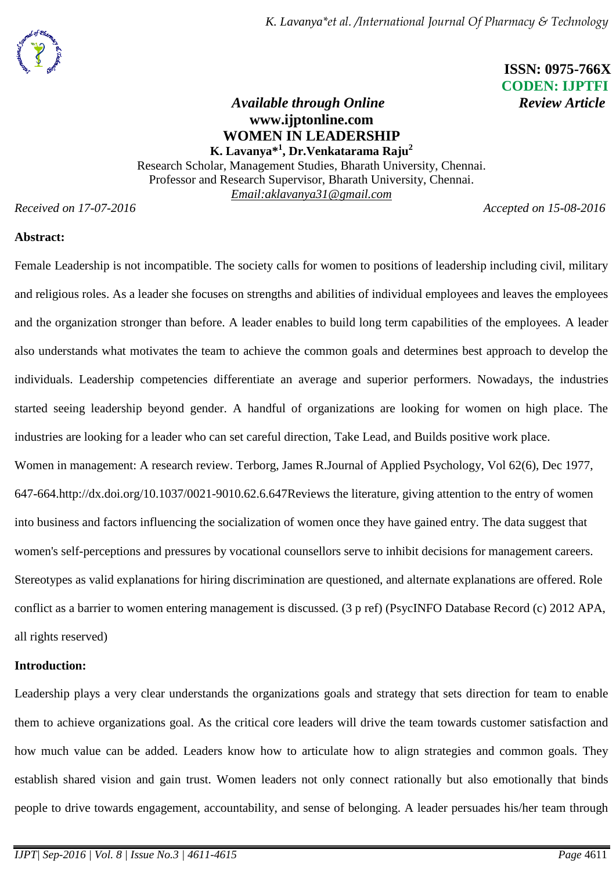

# **ISSN: 0975-766X CODEN: IJPTFI**

### *Available through Online* Review Article **www.ijptonline.com WOMEN IN LEADERSHIP K. Lavanya\* 1 , Dr.Venkatarama Raju<sup>2</sup>**

Research Scholar, Management Studies, Bharath University, Chennai. Professor and Research Supervisor, Bharath University, Chennai. *Email[:aklavanya31@gmail.com](mailto:aklavanya31@gmail.com)*

*Received on 17-07-2016 Accepted on 17-07-2016* 

#### **Abstract:**

Female Leadership is not incompatible. The society calls for women to positions of leadership including civil, military and religious roles. As a leader she focuses on strengths and abilities of individual employees and leaves the employees and the organization stronger than before. A leader enables to build long term capabilities of the employees. A leader also understands what motivates the team to achieve the common goals and determines best approach to develop the individuals. Leadership competencies differentiate an average and superior performers. Nowadays, the industries started seeing leadership beyond gender. A handful of organizations are looking for women on high place. The industries are looking for a leader who can set careful direction, Take Lead, and Builds positive work place. Women in management: A research review. Terborg, James R.Journal of Applied Psychology, Vol 62(6), Dec 1977, 647-664[.http://dx.doi.org/10.1037/0021-9010.62.6.647R](http://psycnet.apa.org/doi/10.1037/0021-9010.62.6.647)eviews the literature, giving attention to the entry of women into business and factors influencing the socialization of women once they have gained entry. The data suggest that women's self-perceptions and pressures by vocational counsellors serve to inhibit decisions for management careers. Stereotypes as valid explanations for hiring discrimination are questioned, and alternate explanations are offered. Role conflict as a barrier to women entering management is discussed. (3 p ref) (PsycINFO Database Record (c) 2012 APA, all rights reserved)

#### **Introduction:**

Leadership plays a very clear understands the organizations goals and strategy that sets direction for team to enable them to achieve organizations goal. As the critical core leaders will drive the team towards customer satisfaction and how much value can be added. Leaders know how to articulate how to align strategies and common goals. They establish shared vision and gain trust. Women leaders not only connect rationally but also emotionally that binds people to drive towards engagement, accountability, and sense of belonging. A leader persuades his/her team through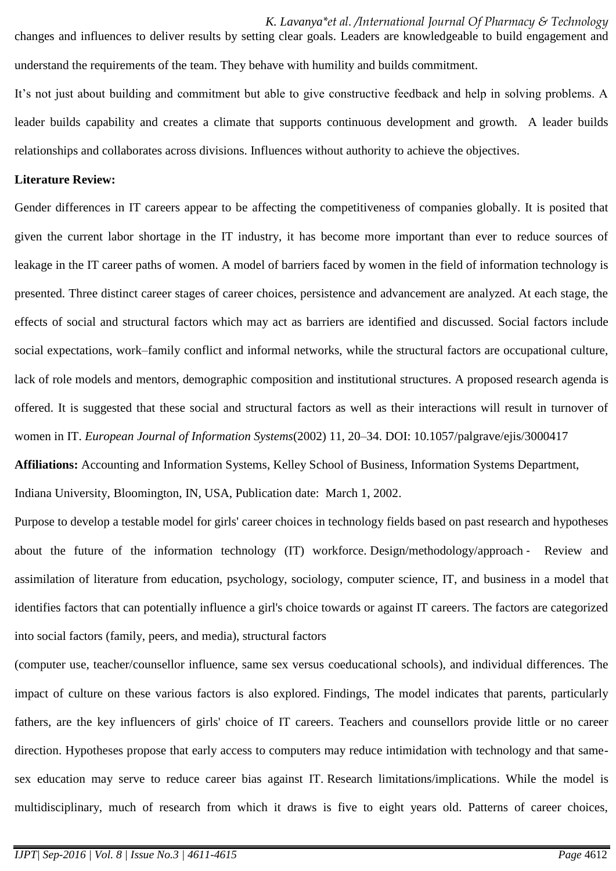*K. Lavanya\*et al. /International Journal Of Pharmacy & Technology*  changes and influences to deliver results by setting clear goals. Leaders are knowledgeable to build engagement and understand the requirements of the team. They behave with humility and builds commitment.

It's not just about building and commitment but able to give constructive feedback and help in solving problems. A leader builds capability and creates a climate that supports continuous development and growth. A leader builds relationships and collaborates across divisions. Influences without authority to achieve the objectives.

#### **Literature Review:**

Gender differences in IT careers appear to be affecting the competitiveness of companies globally. It is posited that given the current labor shortage in the IT industry, it has become more important than ever to reduce sources of leakage in the IT career paths of women. A model of barriers faced by women in the field of information technology is presented. Three distinct career stages of career choices, persistence and advancement are analyzed. At each stage, the effects of social and structural factors which may act as barriers are identified and discussed. Social factors include social expectations, work–family conflict and informal networks, while the structural factors are occupational culture, lack of role models and mentors, demographic composition and institutional structures. A proposed research agenda is offered. It is suggested that these social and structural factors as well as their interactions will result in turnover of women in IT. *European Journal of Information Systems*(2002) 11, 20–34. DOI: 10.1057/palgrave/ejis/3000417

**Affiliations:** Accounting and Information Systems, Kelley School of Business, Information Systems Department, Indiana University, Bloomington, IN, USA, Publication date: March 1, 2002.

Purpose to develop a testable model for girls' career choices in technology fields based on past research and hypotheses about the future of the information technology (IT) workforce. Design/methodology/approach ‐ Review and assimilation of literature from education, psychology, sociology, computer science, IT, and business in a model that identifies factors that can potentially influence a girl's choice towards or against IT careers. The factors are categorized into social factors (family, peers, and media), structural factors

(computer use, teacher/counsellor influence, same sex versus coeducational schools), and individual differences. The impact of culture on these various factors is also explored. Findings, The model indicates that parents, particularly fathers, are the key influencers of girls' choice of IT careers. Teachers and counsellors provide little or no career direction. Hypotheses propose that early access to computers may reduce intimidation with technology and that samesex education may serve to reduce career bias against IT. Research limitations/implications. While the model is multidisciplinary, much of research from which it draws is five to eight years old. Patterns of career choices,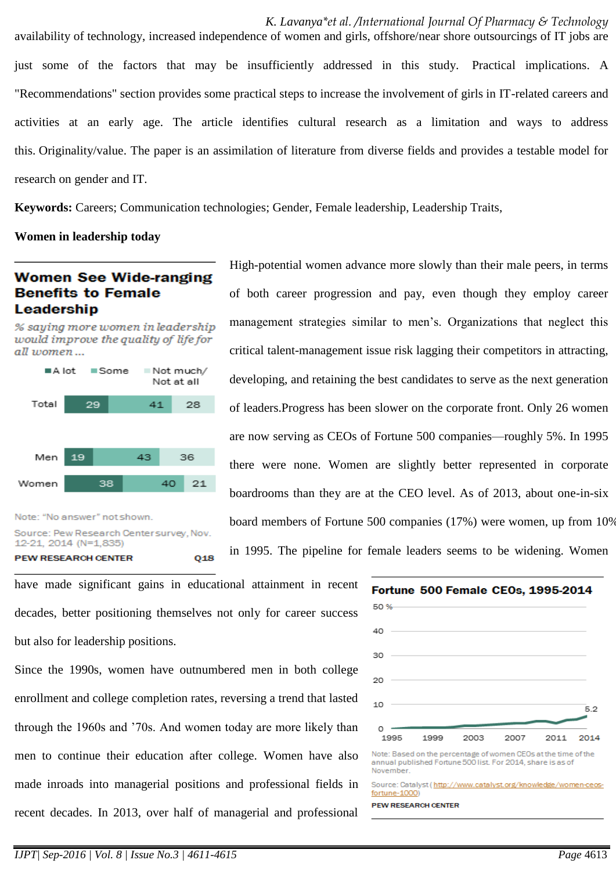*K. Lavanya\*et al. /International Journal Of Pharmacy & Technology*  availability of technology, increased independence of women and girls, offshore/near shore outsourcings of IT jobs are just some of the factors that may be insufficiently addressed in this study. Practical implications. A "Recommendations" section provides some practical steps to increase the involvement of girls in IT-related careers and activities at an early age. The article identifies cultural research as a limitation and ways to address this. Originality/value. The paper is an assimilation of literature from diverse fields and provides a testable model for research on gender and IT.

**Keywords:** [Careers;](http://www.ingentaconnect.com/search?option1=tka&value1=Careers) [Communication technologies;](http://www.ingentaconnect.com/search?option1=tka&value1=Communication+technologies) Gender, Female leadership, Leadership Traits,

**Women in leadership today**

## **Women See Wide-ranging Benefits to Female** Leadership

% saying more women in leadership would improve the quality of life for all women...



Source: Pew Research Center survey, Nov. 12-21, 2014 (N=1,835) **PEW RESEARCH CENTER** Q<sub>18</sub> High-potential women advance more slowly than their male peers, in terms of both career progression and pay, even though they employ career management strategies similar to men's. Organizations that neglect this critical talent-management issue risk lagging their competitors in attracting, developing, and retaining the best candidates to serve as the next generation of leaders.Progress has been slower on the corporate front. Only 26 women are now serving as CEOs of Fortune 500 companies—roughly 5%. In 1995 there were none. Women are slightly better represented in corporate boardrooms than they are at the CEO level. As of 2013, about one-in-six board members of Fortune 500 companies (17%) were women, up from 10% in 1995. The pipeline for female leaders seems to be widening. Women

have made significant gains in educational attainment in recent decades, better positioning themselves not only for career success but also for leadership positions.

Since the 1990s, women have outnumbered men in both college enrollment and college completion rates, reversing a trend that lasted through the 1960s and '70s. And women today are more likely than men to continue their education after college. Women have also made inroads into managerial positions and professional fields in recent decades. In 2013, over half of managerial and professional



Note: Based on the percentage of women CEOs at the time of the annual published Fortune 500 list. For 2014, share is as of November

Source: Catalyst (http://www.catalyst.org/knowledge/women-ceos fortune-1000)

**PEW RESEARCH CENTER**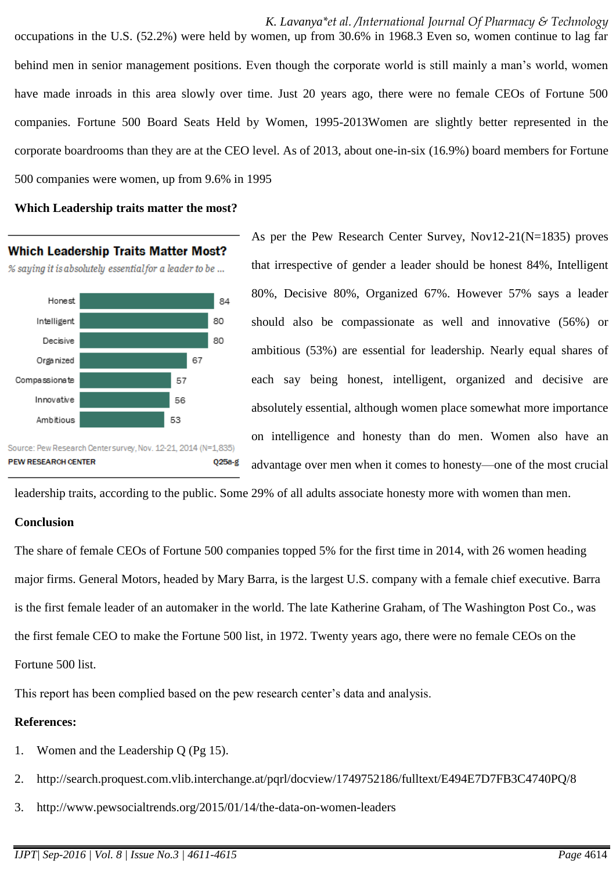*K. Lavanya\*et al. /International Journal Of Pharmacy & Technology*  occupations in the U.S. (52.2%) were held by women, up from 30.6% in 1968.3 Even so, women continue to lag far behind men in senior management positions. Even though the corporate world is still mainly a man's world, women have made inroads in this area slowly over time. Just 20 years ago, there were no female CEOs of Fortune 500 companies. Fortune 500 Board Seats Held by Women, 1995-2013Women are slightly better represented in the corporate boardrooms than they are at the CEO level. As of 2013, about one-in-six (16.9%) board members for Fortune 500 companies were women, up from 9.6% in 1995

#### **Which Leadership traits matter the most?**



As per the Pew Research Center Survey, Nov12-21(N=1835) proves that irrespective of gender a leader should be honest 84%, Intelligent 80%, Decisive 80%, Organized 67%. However 57% says a leader should also be compassionate as well and innovative (56%) or ambitious (53%) are essential for leadership. Nearly equal shares of each say being honest, intelligent, organized and decisive are absolutely essential, although women place somewhat more importance on intelligence and honesty than do men. Women also have an advantage over men when it comes to honesty—one of the most crucial

leadership traits, according to the public. Some 29% of all adults associate honesty more with women than men.

#### **Conclusion**

The share of female CEOs of Fortune 500 companies topped 5% for the first time in 2014, with 26 women heading major firms. General Motors, headed by Mary Barra, is the largest U.S. company with a female chief executive. Barra is the first female leader of an automaker in the world. The late Katherine Graham, of The Washington Post Co., was the first female CEO to make the Fortune 500 list, in 1972. Twenty years ago, there were no female CEOs on the Fortune 500 list.

This report has been complied based on the pew research center's data and analysis.

#### **References:**

- 1. Women and the Leadership Q (Pg 15).
- 2. [http://search.proquest.com.vlib.interchange.at/pqrl/docview/1749752186/fulltext/E494E7D7FB3C4740PQ/8](http://search.proquest.com.vlib.interchange.at/pqrl/docview/1749752186/fulltext/E494E7D7FB3C4740PQ/8?accountid=172684)
- 3. <http://www.pewsocialtrends.org/2015/01/14/the-data-on-women-leaders>